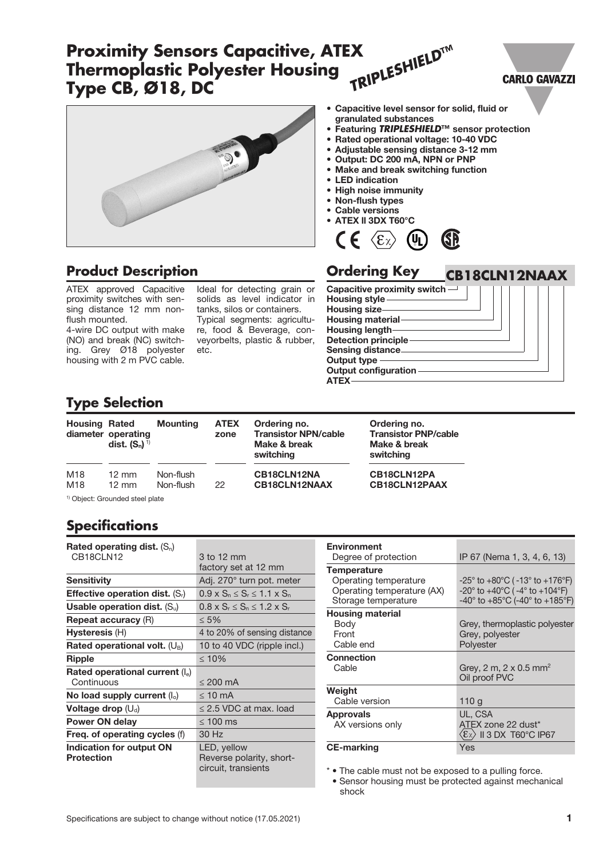### *TRIPLESHIELD***™ Proximity Sensors Capacitive, ATEX Thermoplastic Polyester Housing CARLO GAVAZZI Type CB, Ø18, DC** • Capacitive level sensor for solid, fluid or granulated substances • Featuring *TRIPLESHIELD***™** sensor protection

- Rated operational voltage: 10-40 VDC
- Adjustable sensing distance 3-12 mm
- Output: DC 200 mA, NPN or PNP
- Make and break switching function
- **LED** indication
- High noise immunity
- Non-flush types
- Cable versions
- ATEX ll 3DX T60°C



## **Product Description**

ATEX approved Capacitive proximity switches with sensing distance 12 mm nonflush mounted.

4-wire DC output with make (NO) and break (NC) switching. Grey Ø18 polyester housing with 2 m PVC cable.

Ideal for detecting grain or solids as level indicator in tanks, silos or containers. Typical segments: agriculture, food & Beverage, conveyorbelts, plastic & rubber, etc.

| <b>Ordering Key</b>           | <b>CB18CLN12NAAX</b> |
|-------------------------------|----------------------|
| Capacitive proximity switch - |                      |
| <b>Housing style-</b>         |                      |
| Housing size-                 |                      |
| Housing material-             |                      |
| Housing length                |                      |
| <b>Detection principle-</b>   |                      |
| <b>Sensing distance-</b>      |                      |
| Output type                   |                      |
| <b>Output configuration</b>   |                      |
|                               |                      |

# **Type Selection**

| <b>Housing Rated</b>                       | diameter operating<br>dist. $(S_n)^{1}$ | <b>Mounting</b>        | <b>ATEX</b><br>zone | Ordering no.<br><b>Transistor NPN/cable</b><br>Make & break<br>switching | Ordering no.<br><b>Transistor PNP/cable</b><br>Make & break<br>switching |  |
|--------------------------------------------|-----------------------------------------|------------------------|---------------------|--------------------------------------------------------------------------|--------------------------------------------------------------------------|--|
| M18<br>M <sub>18</sub>                     | $12 \text{ mm}$<br>$12 \text{ mm}$      | Non-flush<br>Non-flush | 22                  | CB18CLN12NA<br>CB18CLN12NAAX                                             | CB18CLN12PA<br>CB18CLN12PAAX                                             |  |
| <sup>1)</sup> Object: Grounded steel plate |                                         |                        |                     |                                                                          |                                                                          |  |

# **Specifications**

| Rated operating dist. $(S_n)$                 |                                                                |
|-----------------------------------------------|----------------------------------------------------------------|
| CB18CLN12                                     | 3 to 12 mm                                                     |
|                                               | factory set at 12 mm                                           |
| Sensitivity                                   | Adj. 270° turn pot. meter                                      |
| <b>Effective operation dist.</b> $(S_i)$      | $0.9 \times S_n \leq S_r \leq 1.1 \times S_n$                  |
| Usable operation dist. $(S_u)$                | $0.8 \times S_r \leq S_n \leq 1.2 \times S_r$                  |
| <b>Repeat accuracy (R)</b>                    | $\leq 5\%$                                                     |
| Hysteresis (H)                                | 4 to 20% of sensing distance                                   |
| Rated operational volt. $(U_B)$               | 10 to 40 VDC (ripple incl.)                                    |
| <b>Ripple</b>                                 | $\leq 10\%$                                                    |
| Rated operational current $(I_e)$             |                                                                |
| Continuous                                    | $\leq$ 200 mA                                                  |
| No load supply current $(I_0)$                | $\leq 10$ mA                                                   |
| Voltage drop $(U_d)$                          | $\leq$ 2.5 VDC at max. load                                    |
| Power ON delay                                | $\leq 100$ ms                                                  |
| Freq. of operating cycles (f)                 | 30 Hz                                                          |
| Indication for output ON<br><b>Protection</b> | LED, yellow<br>Reverse polarity, short-<br>circuit, transients |

| <b>Environment</b>                                  |                                                                                                                                               |
|-----------------------------------------------------|-----------------------------------------------------------------------------------------------------------------------------------------------|
| Degree of protection                                | IP 67 (Nema 1, 3, 4, 6, 13)                                                                                                                   |
| <b>Temperature</b>                                  |                                                                                                                                               |
| Operating temperature<br>Operating temperature (AX) | $-25^{\circ}$ to $+80^{\circ}$ C ( $-13^{\circ}$ to $+176^{\circ}$ F)<br>$-20^{\circ}$ to $+40^{\circ}$ C ( $-4^{\circ}$ to $+104^{\circ}$ F) |
| Storage temperature                                 | $-40^{\circ}$ to $+85^{\circ}$ C (-40° to $+185^{\circ}$ F)                                                                                   |
| <b>Housing material</b>                             |                                                                                                                                               |
| Body                                                | Grey, thermoplastic polyester                                                                                                                 |
| Front                                               | Grey, polyester                                                                                                                               |
| Cable end                                           | Polyester                                                                                                                                     |
| <b>Connection</b>                                   |                                                                                                                                               |
| Cable                                               | Grey, 2 m, 2 x 0.5 mm <sup>2</sup>                                                                                                            |
|                                                     | Oil proof PVC                                                                                                                                 |
| Weight                                              |                                                                                                                                               |
| Cable version                                       | 110g                                                                                                                                          |
| <b>Approvals</b>                                    | UL, CSA                                                                                                                                       |
| AX versions only                                    | ATEX zone 22 dust*                                                                                                                            |
|                                                     | $\langle \varepsilon_{\rm X} \rangle$ II 3 DX T60°C IP67                                                                                      |
| <b>CE-marking</b>                                   | Yes                                                                                                                                           |

\* • The cable must not be exposed to a pulling force. • Sensor housing must be protected against mechanical shock